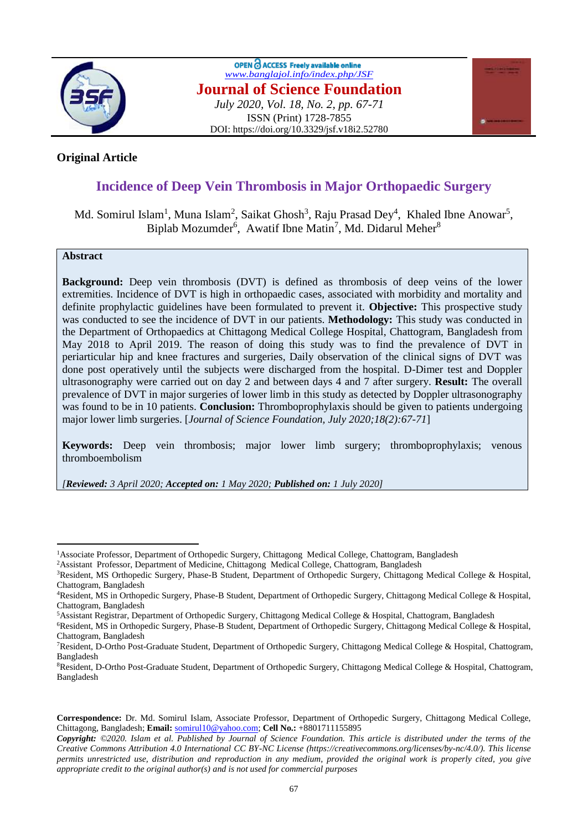

OPEN C ACCESS Freely available online *[www.banglajol.info/index.php/JSF](http://www.banglajol.info/index.php/JSF)* **Journal of Science Foundation** *July 2020, Vol. 18, No. 2, pp. 67-71* ISSN (Print) 1728-7855 DOI: https://doi.org/10.3329/jsf.v18i2.52780



## **Original Article**

# **Incidence of Deep Vein Thrombosis in Major Orthopaedic Surgery**

## Md. Somirul Islam<sup>1</sup>, Muna Islam<sup>2</sup>, Saikat Ghosh<sup>3</sup>, Raju Prasad Dey<sup>4</sup>, Khaled Ibne Anowar<sup>5</sup>, Biplab Mozumder<sup>6</sup>, Awatif Ibne Matin<sup>7</sup>, Md. Didarul Meher<sup>8</sup>

### **Abstract**

 $\overline{a}$ 

**Background:** Deep vein thrombosis (DVT) is defined as thrombosis of deep veins of the lower extremities. Incidence of DVT is high in orthopaedic cases, associated with morbidity and mortality and definite prophylactic guidelines have been formulated to prevent it. **Objective:** This prospective study was conducted to see the incidence of DVT in our patients. **Methodology:** This study was conducted in the Department of Orthopaedics at Chittagong Medical College Hospital, Chattogram, Bangladesh from May 2018 to April 2019. The reason of doing this study was to find the prevalence of DVT in periarticular hip and knee fractures and surgeries, Daily observation of the clinical signs of DVT was done post operatively until the subjects were discharged from the hospital. D-Dimer test and Doppler ultrasonography were carried out on day 2 and between days 4 and 7 after surgery. **Result:** The overall prevalence of DVT in major surgeries of lower limb in this study as detected by Doppler ultrasonography was found to be in 10 patients. **Conclusion:** Thromboprophylaxis should be given to patients undergoing major lower limb surgeries. [*Journal of Science Foundation, July 2020;18(2):67-71*]

**Keywords:** Deep vein thrombosis; major lower limb surgery; thromboprophylaxis; venous thromboembolism

*[Reviewed: 3 April 2020; Accepted on: 1 May 2020; Published on: 1 July 2020]*

<sup>&</sup>lt;sup>1</sup>Associate Professor, Department of Orthopedic Surgery, Chittagong Medical College, Chattogram, Bangladesh

<sup>2</sup>Assistant Professor, Department of Medicine, Chittagong Medical College, Chattogram, Bangladesh

<sup>3</sup>Resident, MS Orthopedic Surgery, Phase-B Student, Department of Orthopedic Surgery, Chittagong Medical College & Hospital, Chattogram, Bangladesh

<sup>4</sup>Resident, MS in Orthopedic Surgery, Phase-B Student, Department of Orthopedic Surgery, Chittagong Medical College & Hospital, Chattogram, Bangladesh

<sup>5</sup>Assistant Registrar, Department of Orthopedic Surgery, Chittagong Medical College & Hospital, Chattogram, Bangladesh

<sup>6</sup>Resident, MS in Orthopedic Surgery, Phase-B Student, Department of Orthopedic Surgery, Chittagong Medical College & Hospital, Chattogram, Bangladesh

<sup>7</sup>Resident, D-Ortho Post-Graduate Student, Department of Orthopedic Surgery, Chittagong Medical College & Hospital, Chattogram, Bangladesh

<sup>8</sup>Resident, D-Ortho Post-Graduate Student, Department of Orthopedic Surgery, Chittagong Medical College & Hospital, Chattogram, Bangladesh

**Correspondence:** Dr. Md. Somirul Islam, Associate Professor, Department of Orthopedic Surgery, Chittagong Medical College, Chittagong, Bangladesh; **Email:** [somirul10@yahoo.com;](mailto:somirul10@yahoo.com) **Cell No.:** +8801711155895

*Copyright: ©2020. Islam et al. Published by Journal of Science Foundation. This article is distributed under the terms of the Creative Commons Attribution 4.0 International CC BY-NC License (https://creativecommons.org/licenses/by-nc/4.0/). This license permits unrestricted use, distribution and reproduction in any medium, provided the original work is properly cited, you give appropriate credit to the original author(s) and is not used for commercial purposes*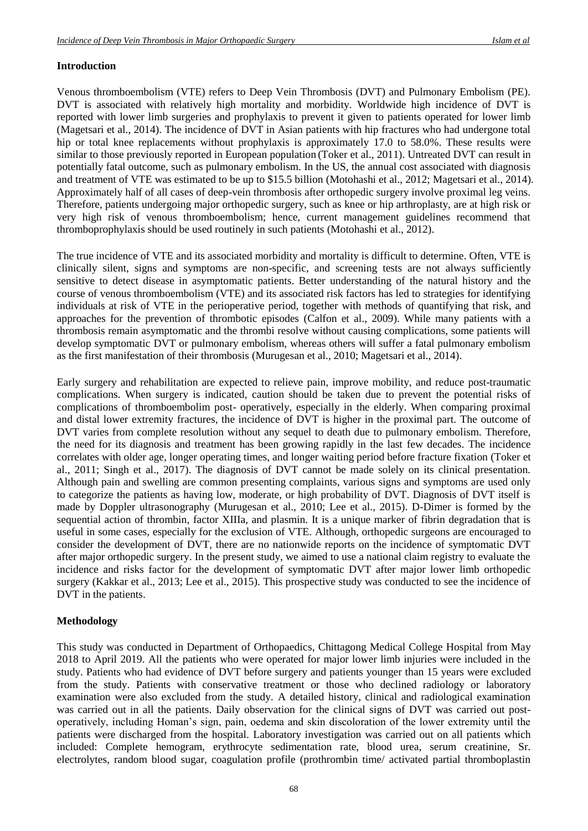#### **Introduction**

Venous thromboembolism (VTE) refers to Deep Vein Thrombosis (DVT) and Pulmonary Embolism (PE). DVT is associated with relatively high mortality and morbidity. Worldwide high incidence of DVT is reported with lower limb surgeries and prophylaxis to prevent it given to patients operated for lower limb (Magetsari et al., 2014). The incidence of DVT in Asian patients with hip fractures who had undergone total hip or total knee replacements without prophylaxis is approximately 17.0 to 58.0%. These results were similar to those previously reported in European population (Toker et al., 2011). Untreated DVT can result in potentially fatal outcome, such as pulmonary embolism. In the US, the annual cost associated with diagnosis and treatment of VTE was estimated to be up to \$15.5 billion (Motohashi et al., 2012; Magetsari et al., 2014). Approximately half of all cases of deep-vein thrombosis after orthopedic surgery involve proximal leg veins. Therefore, patients undergoing major orthopedic surgery, such as knee or hip arthroplasty, are at high risk or very high risk of venous thromboembolism; hence, current management guidelines recommend that thromboprophylaxis should be used routinely in such patients (Motohashi et al., 2012).

The true incidence of VTE and its associated morbidity and mortality is difficult to determine. Often, VTE is clinically silent, signs and symptoms are non-specific, and screening tests are not always sufficiently sensitive to detect disease in asymptomatic patients. Better understanding of the natural history and the course of venous thromboembolism (VTE) and its associated risk factors has led to strategies for identifying individuals at risk of VTE in the perioperative period, together with methods of quantifying that risk, and approaches for the prevention of thrombotic episodes (Calfon et al., 2009). While many patients with a thrombosis remain asymptomatic and the thrombi resolve without causing complications, some patients will develop symptomatic DVT or pulmonary embolism, whereas others will suffer a fatal pulmonary embolism as the first manifestation of their thrombosis (Murugesan et al., 2010; Magetsari et al., 2014).

Early surgery and rehabilitation are expected to relieve pain, improve mobility, and reduce post-traumatic complications. When surgery is indicated, caution should be taken due to prevent the potential risks of complications of thromboembolim post- operatively, especially in the elderly. When comparing proximal and distal lower extremity fractures, the incidence of DVT is higher in the proximal part. The outcome of DVT varies from complete resolution without any sequel to death due to pulmonary embolism. Therefore, the need for its diagnosis and treatment has been growing rapidly in the last few decades. The incidence correlates with older age, longer operating times, and longer waiting period before fracture fixation (Toker et al., 2011; Singh et al., 2017). The diagnosis of DVT cannot be made solely on its clinical presentation. Although pain and swelling are common presenting complaints, various signs and symptoms are used only to categorize the patients as having low, moderate, or high probability of DVT. Diagnosis of DVT itself is made by Doppler ultrasonography (Murugesan et al., 2010; Lee et al., 2015). D-Dimer is formed by the sequential action of thrombin, factor XIIIa, and plasmin. It is a unique marker of fibrin degradation that is useful in some cases, especially for the exclusion of VTE. Although, orthopedic surgeons are encouraged to consider the development of DVT, there are no nationwide reports on the incidence of symptomatic DVT after major orthopedic surgery. In the present study, we aimed to use a national claim registry to evaluate the incidence and risks factor for the development of symptomatic DVT after major lower limb orthopedic surgery (Kakkar et al., 2013; Lee et al., 2015). This prospective study was conducted to see the incidence of DVT in the patients.

#### **Methodology**

This study was conducted in Department of Orthopaedics, Chittagong Medical College Hospital from May 2018 to April 2019. All the patients who were operated for major lower limb injuries were included in the study. Patients who had evidence of DVT before surgery and patients younger than 15 years were excluded from the study. Patients with conservative treatment or those who declined radiology or laboratory examination were also excluded from the study. A detailed history, clinical and radiological examination was carried out in all the patients. Daily observation for the clinical signs of DVT was carried out postoperatively, including Homan's sign, pain, oedema and skin discoloration of the lower extremity until the patients were discharged from the hospital. Laboratory investigation was carried out on all patients which included: Complete hemogram, erythrocyte sedimentation rate, blood urea, serum creatinine, Sr. electrolytes, random blood sugar, coagulation profile (prothrombin time/ activated partial thromboplastin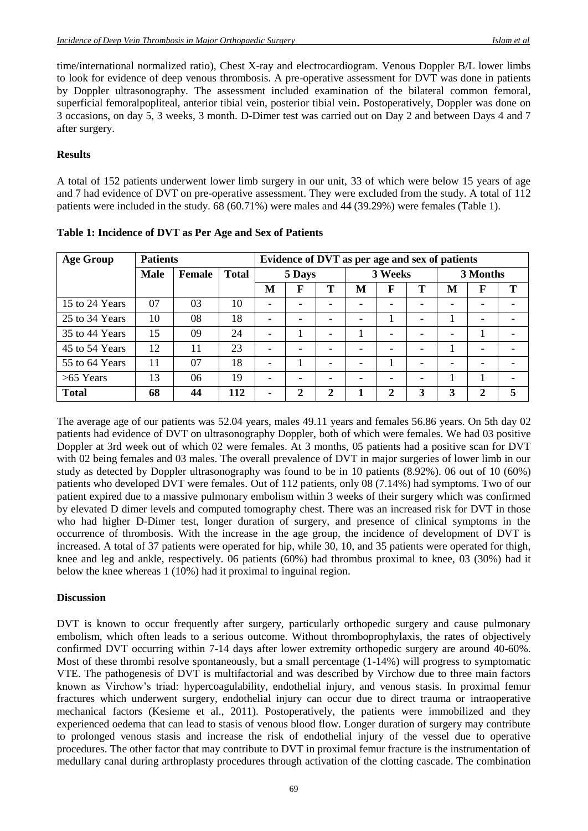time/international normalized ratio), Chest X-ray and electrocardiogram. Venous Doppler B/L lower limbs to look for evidence of deep venous thrombosis. A pre-operative assessment for DVT was done in patients by Doppler ultrasonography. The assessment included examination of the bilateral common femoral, superficial femoralpopliteal, anterior tibial vein, posterior tibial vein**.** Postoperatively, Doppler was done on 3 occasions, on day 5, 3 weeks, 3 month. D-Dimer test was carried out on Day 2 and between Days 4 and 7 after surgery.

### **Results**

A total of 152 patients underwent lower limb surgery in our unit, 33 of which were below 15 years of age and 7 had evidence of DVT on pre-operative assessment. They were excluded from the study. A total of 112 patients were included in the study. 68 (60.71%) were males and 44 (39.29%) were females (Table 1).

| <b>Age Group</b> | <b>Patients</b> |        |              | Evidence of DVT as per age and sex of patients |                          |   |         |   |   |          |              |   |
|------------------|-----------------|--------|--------------|------------------------------------------------|--------------------------|---|---------|---|---|----------|--------------|---|
|                  | <b>Male</b>     | Female | <b>Total</b> | 5 Days                                         |                          |   | 3 Weeks |   |   | 3 Months |              |   |
|                  |                 |        |              | M                                              | F                        | Т | M       | F | Т | M        | F            | т |
| 15 to 24 Years   | 07              | 03     | 10           |                                                |                          | - | -       | - |   |          | -            |   |
| 25 to 34 Years   | 10              | 08     | 18           |                                                |                          |   | -       |   |   |          | ۰            |   |
| 35 to 44 Years   | 15              | 09     | 24           |                                                |                          | ۰ |         |   |   |          |              |   |
| 45 to 54 Years   | 12              | 11     | 23           |                                                |                          | ۰ |         |   |   |          | ۰.           |   |
| 55 to 64 Years   | 11              | 07     | 18           |                                                |                          | ۰ | -       |   |   |          | -            |   |
| $>65$ Years      | 13              | 06     | 19           | -                                              | $\overline{\phantom{a}}$ | ۰ | -       |   | - |          |              |   |
| <b>Total</b>     | 68              | 44     | 112          | ۰.                                             | ∍                        | 2 |         | 2 | 3 | 3        | $\mathbf{2}$ |   |

**Table 1: Incidence of DVT as Per Age and Sex of Patients** 

The average age of our patients was 52.04 years, males 49.11 years and females 56.86 years. On 5th day 02 patients had evidence of DVT on ultrasonography Doppler, both of which were females. We had 03 positive Doppler at 3rd week out of which 02 were females. At 3 months, 05 patients had a positive scan for DVT with 02 being females and 03 males. The overall prevalence of DVT in major surgeries of lower limb in our study as detected by Doppler ultrasonography was found to be in 10 patients (8.92%). 06 out of 10 (60%) patients who developed DVT were females. Out of 112 patients, only 08 (7.14%) had symptoms. Two of our patient expired due to a massive pulmonary embolism within 3 weeks of their surgery which was confirmed by elevated D dimer levels and computed tomography chest. There was an increased risk for DVT in those who had higher D-Dimer test, longer duration of surgery, and presence of clinical symptoms in the occurrence of thrombosis. With the increase in the age group, the incidence of development of DVT is increased. A total of 37 patients were operated for hip, while 30, 10, and 35 patients were operated for thigh, knee and leg and ankle, respectively. 06 patients (60%) had thrombus proximal to knee, 03 (30%) had it below the knee whereas 1 (10%) had it proximal to inguinal region.

#### **Discussion**

DVT is known to occur frequently after surgery, particularly orthopedic surgery and cause pulmonary embolism, which often leads to a serious outcome. Without thromboprophylaxis, the rates of objectively confirmed DVT occurring within 7-14 days after lower extremity orthopedic surgery are around 40-60%. Most of these thrombi resolve spontaneously, but a small percentage (1-14%) will progress to symptomatic VTE. The pathogenesis of DVT is multifactorial and was described by Virchow due to three main factors known as Virchow's triad: hypercoagulability, endothelial injury, and venous stasis. In proximal femur fractures which underwent surgery, endothelial injury can occur due to direct trauma or intraoperative mechanical factors (Kesieme et al., 2011). Postoperatively, the patients were immobilized and they experienced oedema that can lead to stasis of venous blood flow. Longer duration of surgery may contribute to prolonged venous stasis and increase the risk of endothelial injury of the vessel due to operative procedures. The other factor that may contribute to DVT in proximal femur fracture is the instrumentation of medullary canal during arthroplasty procedures through activation of the clotting cascade. The combination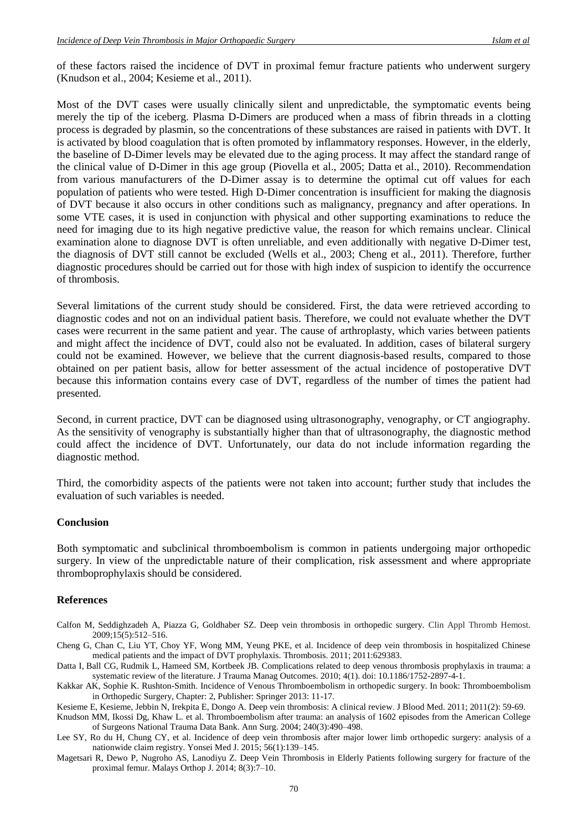of these factors raised the incidence of DVT in proximal femur fracture patients who underwent surgery (Knudson et al., 2004; Kesieme et al., 2011).

Most of the DVT cases were usually clinically silent and unpredictable, the symptomatic events being merely the tip of the iceberg. Plasma D-Dimers are produced when a mass of fibrin threads in a clotting process is degraded by plasmin, so the concentrations of these substances are raised in patients with DVT. It is activated by blood coagulation that is often promoted by inflammatory responses. However, in the elderly, the baseline of D-Dimer levels may be elevated due to the aging process. It may affect the standard range of the clinical value of D-Dimer in this age group (Piovella et al., 2005; Datta et al., 2010). Recommendation from various manufacturers of the D-Dimer assay is to determine the optimal cut off values for each population of patients who were tested. High D-Dimer concentration is insufficient for making the diagnosis of DVT because it also occurs in other conditions such as malignancy, pregnancy and after operations. In some VTE cases, it is used in conjunction with physical and other supporting examinations to reduce the need for imaging due to its high negative predictive value, the reason for which remains unclear. Clinical examination alone to diagnose DVT is often unreliable, and even additionally with negative D-Dimer test, the diagnosis of DVT still cannot be excluded (Wells et al., 2003; Cheng et al., 2011). Therefore, further diagnostic procedures should be carried out for those with high index of suspicion to identify the occurrence of thrombosis.

Several limitations of the current study should be considered. First, the data were retrieved according to diagnostic codes and not on an individual patient basis. Therefore, we could not evaluate whether the DVT cases were recurrent in the same patient and year. The cause of arthroplasty, which varies between patients and might affect the incidence of DVT, could also not be evaluated. In addition, cases of bilateral surgery could not be examined. However, we believe that the current diagnosis-based results, compared to those obtained on per patient basis, allow for better assessment of the actual incidence of postoperative DVT because this information contains every case of DVT, regardless of the number of times the patient had presented.

Second, in current practice, DVT can be diagnosed using ultrasonography, venography, or CT angiography. As the sensitivity of venography is substantially higher than that of ultrasonography, the diagnostic method could affect the incidence of DVT. Unfortunately, our data do not include information regarding the diagnostic method.

Third, the comorbidity aspects of the patients were not taken into account; further study that includes the evaluation of such variables is needed.

#### **Conclusion**

Both symptomatic and subclinical thromboembolism is common in patients undergoing major orthopedic surgery. In view of the unpredictable nature of their complication, risk assessment and where appropriate thromboprophylaxis should be considered.

#### **References**

- Calfon M, Seddighzadeh A, Piazza G, Goldhaber SZ. Deep vein thrombosis in orthopedic surgery. Clin Appl Thromb Hemost. 2009;15(5):512–516.
- Cheng G, Chan C, Liu YT, Choy YF, Wong MM, Yeung PKE, et al. Incidence of deep vein thrombosis in hospitalized Chinese medical patients and the impact of DVT prophylaxis. Thrombosis. 2011; 2011:629383.
- Datta I, Ball CG, Rudmik L, Hameed SM, Kortbeek JB. Complications related to deep venous thrombosis prophylaxis in trauma: a systematic review of the literature. J Trauma Manag Outcomes. 2010; 4(1). doi: 10.1186/1752-2897-4-1.
- Kakkar AK, Sophie K. Rushton-Smith. Incidence of Venous Thromboembolism in orthopedic surgery. In book: Thromboembolism in Orthopedic Surgery, Chapter: 2, Publisher: Springer 2013: 11-17.

Kesieme E, Kesieme, Jebbin N, Irekpita E, Dongo A. Deep vein thrombosis: A clinical review. J Blood Med. 2011; 2011(2): 59-69.

Knudson MM, Ikossi Dg, Khaw L. et al. Thromboembolism after trauma: an analysis of 1602 episodes from the American College of Surgeons National Trauma Data Bank. Ann Surg. 2004; 240(3):490–498.

- Lee SY, Ro du H, Chung CY, et al. Incidence of deep vein thrombosis after major lower limb orthopedic surgery: analysis of a nationwide claim registry. Yonsei Med J. 2015; 56(1):139–145.
- Magetsari R, Dewo P, Nugroho AS, Lanodiyu Z. Deep Vein Thrombosis in Elderly Patients following surgery for fracture of the proximal femur. Malays Orthop J. 2014; 8(3):7–10.